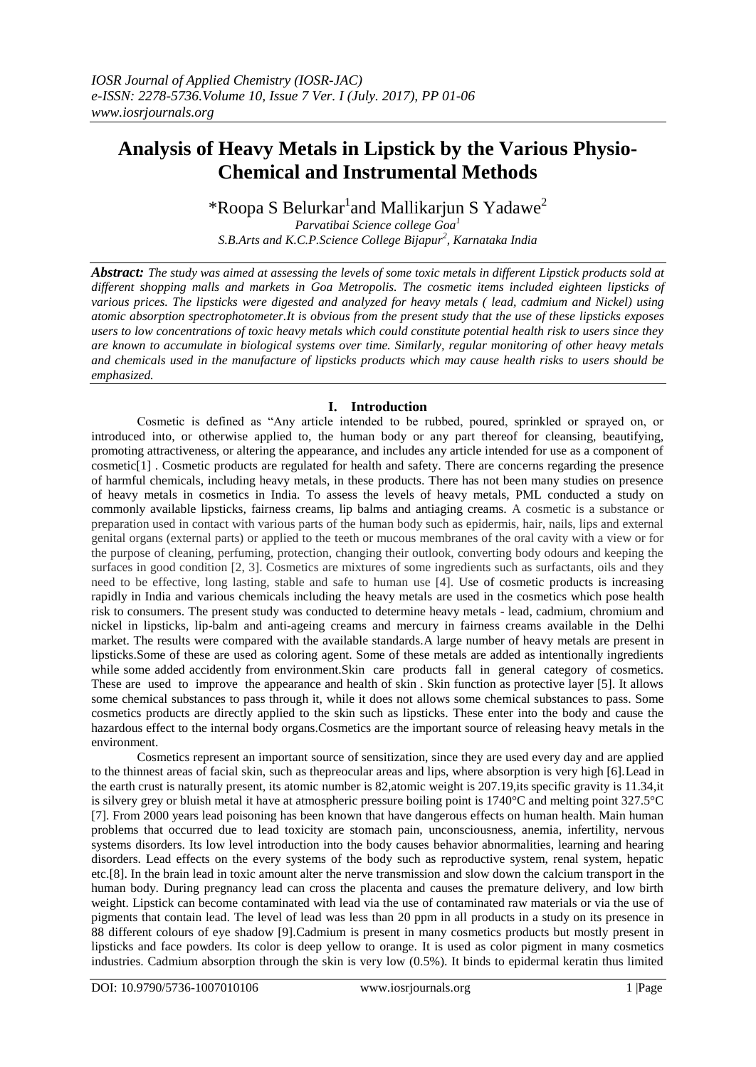# **Analysis of Heavy Metals in Lipstick by the Various Physio-Chemical and Instrumental Methods**

\*Roopa S Belurkar<sup>1</sup>and Mallikarjun S Yadawe<sup>2</sup>

*Parvatibai Science college Goa<sup>1</sup> S.B.Arts and K.C.P.Science College Bijapur<sup>2</sup> , Karnataka India*

*Abstract: The study was aimed at assessing the levels of some toxic metals in different Lipstick products sold at different shopping malls and markets in Goa Metropolis. The cosmetic items included eighteen lipsticks of various prices. The lipsticks were digested and analyzed for heavy metals ( lead, cadmium and Nickel) using atomic absorption spectrophotometer.It is obvious from the present study that the use of these lipsticks exposes users to low concentrations of toxic heavy metals which could constitute potential health risk to users since they are known to accumulate in biological systems over time. Similarly, regular monitoring of other heavy metals and chemicals used in the manufacture of lipsticks products which may cause health risks to users should be emphasized.*

## **I. Introduction**

Cosmetic is defined as "Any article intended to be rubbed, poured, sprinkled or sprayed on, or introduced into, or otherwise applied to, the human body or any part thereof for cleansing, beautifying, promoting attractiveness, or altering the appearance, and includes any article intended for use as a component of cosmetic[1] . Cosmetic products are regulated for health and safety. There are concerns regarding the presence of harmful chemicals, including heavy metals, in these products. There has not been many studies on presence of heavy metals in cosmetics in India. To assess the levels of heavy metals, PML conducted a study on commonly available lipsticks, fairness creams, lip balms and antiaging creams. A cosmetic is a substance or preparation used in contact with various parts of the human body such as epidermis, hair, nails, lips and external genital organs (external parts) or applied to the teeth or mucous membranes of the oral cavity with a view or for the purpose of cleaning, perfuming, protection, changing their outlook, converting body odours and keeping the surfaces in good condition [2, 3]. Cosmetics are mixtures of some ingredients such as surfactants, oils and they need to be effective, long lasting, stable and safe to human use [4]. Use of cosmetic products is increasing rapidly in India and various chemicals including the heavy metals are used in the cosmetics which pose health risk to consumers. The present study was conducted to determine heavy metals - lead, cadmium, chromium and nickel in lipsticks, lip-balm and anti-ageing creams and mercury in fairness creams available in the Delhi market. The results were compared with the available standards.A large number of heavy metals are present in lipsticks.Some of these are used as coloring agent. Some of these metals are added as intentionally ingredients while some added accidently from environment.Skin care products fall in general category of cosmetics. These are used to improve the appearance and health of skin . Skin function as protective layer [5]. It allows some chemical substances to pass through it, while it does not allows some chemical substances to pass. Some cosmetics products are directly applied to the skin such as lipsticks. These enter into the body and cause the hazardous effect to the internal body organs.Cosmetics are the important source of releasing heavy metals in the environment.

Cosmetics represent an important source of sensitization, since they are used every day and are applied to the thinnest areas of facial skin, such as thepreocular areas and lips, where absorption is very high [6].Lead in the earth crust is naturally present, its atomic number is 82,atomic weight is 207.19,its specific gravity is 11.34,it is silvery grey or bluish metal it have at atmospheric pressure boiling point is 1740°C and melting point 327.5°C [7]. From 2000 years lead poisoning has been known that have dangerous effects on human health. Main human problems that occurred due to lead toxicity are stomach pain, unconsciousness, anemia, infertility, nervous systems disorders. Its low level introduction into the body causes behavior abnormalities, learning and hearing disorders. Lead effects on the every systems of the body such as reproductive system, renal system, hepatic etc.[8]. In the brain lead in toxic amount alter the nerve transmission and slow down the calcium transport in the human body. During pregnancy lead can cross the placenta and causes the premature delivery, and low birth weight. Lipstick can become contaminated with lead via the use of contaminated raw materials or via the use of pigments that contain lead. The level of lead was less than 20 ppm in all products in a study on its presence in 88 different colours of eye shadow [9].Cadmium is present in many cosmetics products but mostly present in lipsticks and face powders. Its color is deep yellow to orange. It is used as color pigment in many cosmetics industries. Cadmium absorption through the skin is very low (0.5%). It binds to epidermal keratin thus limited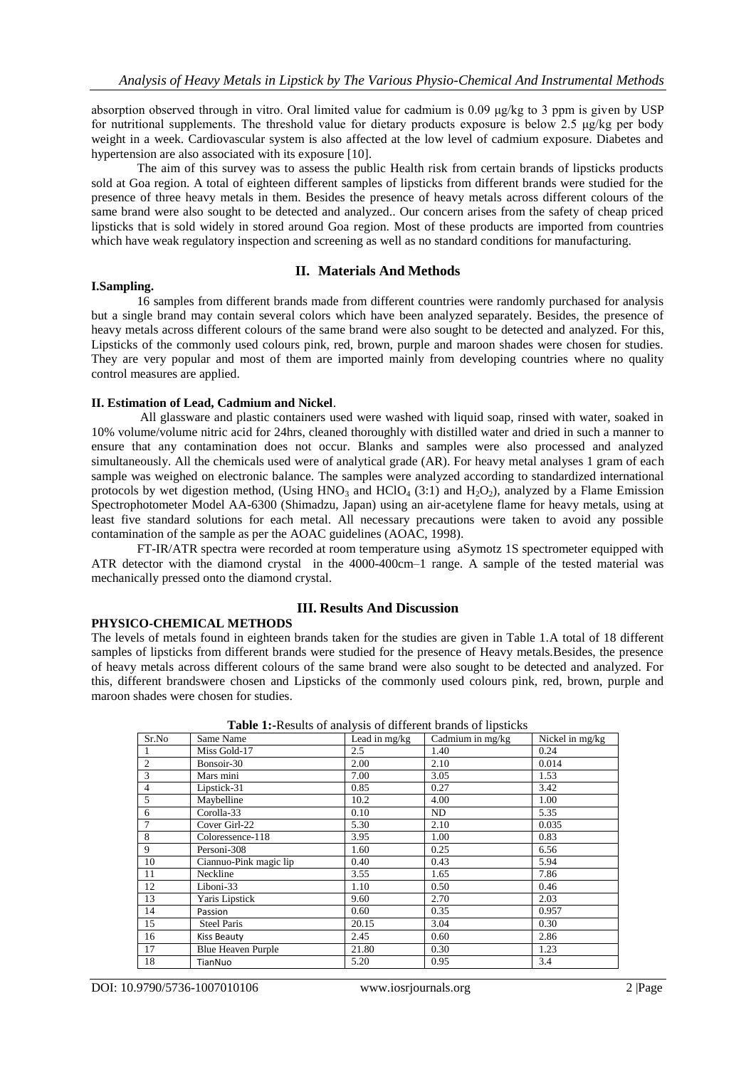absorption observed through in vitro. Oral limited value for cadmium is 0.09 μg/kg to 3 ppm is given by USP for nutritional supplements. The threshold value for dietary products exposure is below 2.5 μg/kg per body weight in a week. Cardiovascular system is also affected at the low level of cadmium exposure. Diabetes and hypertension are also associated with its exposure [10].

The aim of this survey was to assess the public Health risk from certain brands of lipsticks products sold at Goa region. A total of eighteen different samples of lipsticks from different brands were studied for the presence of three heavy metals in them. Besides the presence of heavy metals across different colours of the same brand were also sought to be detected and analyzed.. Our concern arises from the safety of cheap priced lipsticks that is sold widely in stored around Goa region. Most of these products are imported from countries which have weak regulatory inspection and screening as well as no standard conditions for manufacturing.

#### **II. Materials And Methods**

#### **I.Sampling.**

16 samples from different brands made from different countries were randomly purchased for analysis but a single brand may contain several colors which have been analyzed separately. Besides, the presence of heavy metals across different colours of the same brand were also sought to be detected and analyzed. For this, Lipsticks of the commonly used colours pink, red, brown, purple and maroon shades were chosen for studies. They are very popular and most of them are imported mainly from developing countries where no quality control measures are applied.

#### **II. Estimation of Lead, Cadmium and Nickel**.

All glassware and plastic containers used were washed with liquid soap, rinsed with water, soaked in 10% volume/volume nitric acid for 24hrs, cleaned thoroughly with distilled water and dried in such a manner to ensure that any contamination does not occur. Blanks and samples were also processed and analyzed simultaneously. All the chemicals used were of analytical grade (AR). For heavy metal analyses 1 gram of each sample was weighed on electronic balance. The samples were analyzed according to standardized international protocols by wet digestion method, (Using  $HNO_3$  and  $HClO_4$  (3:1) and  $H_2O_2$ ), analyzed by a Flame Emission Spectrophotometer Model AA-6300 (Shimadzu, Japan) using an air-acetylene flame for heavy metals, using at least five standard solutions for each metal. All necessary precautions were taken to avoid any possible contamination of the sample as per the AOAC guidelines (AOAC, 1998).

FT-IR/ATR spectra were recorded at room temperature using aSymotz 1S spectrometer equipped with ATR detector with the diamond crystal in the 4000-400cm-1 range. A sample of the tested material was mechanically pressed onto the diamond crystal.

#### **PHYSICO-CHEMICAL METHODS**

### **III. Results And Discussion**

The levels of metals found in eighteen brands taken for the studies are given in Table 1.A total of 18 different samples of lipsticks from different brands were studied for the presence of Heavy metals.Besides, the presence of heavy metals across different colours of the same brand were also sought to be detected and analyzed. For this, different brandswere chosen and Lipsticks of the commonly used colours pink, red, brown, purple and maroon shades were chosen for studies.

| <b>THOIC IT RESORTS OF MINE, SEE OF GITTERED COMMUNISTIES</b> |                           |                 |                  |                 |
|---------------------------------------------------------------|---------------------------|-----------------|------------------|-----------------|
| Sr.No                                                         | Same Name                 | Lead in $mg/kg$ | Cadmium in mg/kg | Nickel in mg/kg |
|                                                               | Miss Gold-17              | 2.5             | 1.40             | 0.24            |
| 2                                                             | Bonsoir-30                | 2.00            | 2.10             | 0.014           |
| 3                                                             | Mars mini                 | 7.00            | 3.05             | 1.53            |
| $\overline{4}$                                                | Lipstick-31               | 0.85            | 0.27             | 3.42            |
| 5                                                             | Maybelline                | 10.2            | 4.00             | 1.00            |
| 6                                                             | Corolla-33                | 0.10            | ND               | 5.35            |
| $\tau$                                                        | Cover Girl-22             | 5.30            | 2.10             | 0.035           |
| 8                                                             | Coloressence-118          | 3.95            | 1.00             | 0.83            |
| 9                                                             | Personi-308               | 1.60            | 0.25             | 6.56            |
| 10                                                            | Ciannuo-Pink magic lip    | 0.40            | 0.43             | 5.94            |
| 11                                                            | Neckline                  | 3.55            | 1.65             | 7.86            |
| 12                                                            | Liboni-33                 | 1.10            | 0.50             | 0.46            |
| 13                                                            | Yaris Lipstick            | 9.60            | 2.70             | 2.03            |
| 14                                                            | Passion                   | 0.60            | 0.35             | 0.957           |
| 15                                                            | <b>Steel Paris</b>        | 20.15           | 3.04             | 0.30            |
| 16                                                            | Kiss Beauty               | 2.45            | 0.60             | 2.86            |
| 17                                                            | <b>Blue Heaven Purple</b> | 21.80           | 0.30             | 1.23            |
| 18                                                            | TianNuo                   | 5.20            | 0.95             | 3.4             |

**Table 1:-**Results of analysis of different brands of lipsticks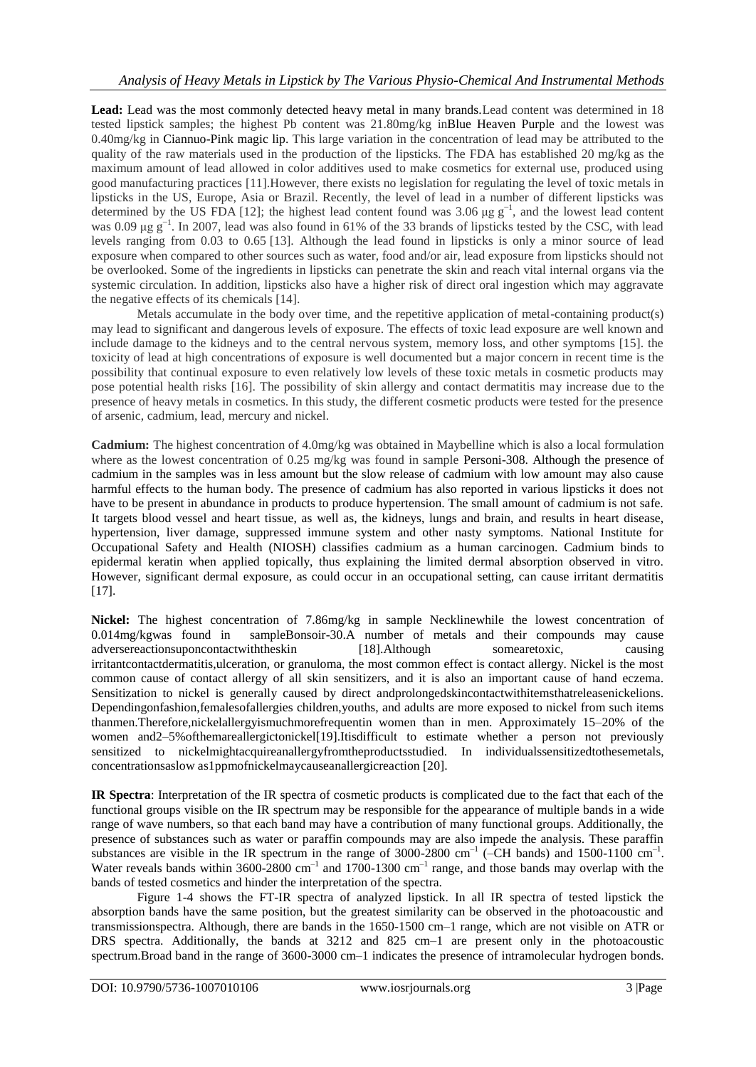Lead: Lead was the most commonly detected heavy metal in many brands. Lead content was determined in 18 tested lipstick samples; the highest Pb content was 21.80mg/kg inBlue Heaven Purple and the lowest was 0.40mg/kg in Ciannuo-Pink magic lip. This large variation in the concentration of lead may be attributed to the quality of the raw materials used in the production of the lipsticks. The FDA has established 20 mg/kg as the maximum amount of lead allowed in color additives used to make cosmetics for external use, produced using good manufacturing practices [11].However, there exists no legislation for regulating the level of toxic metals in lipsticks in the US, Europe, Asia or Brazil. Recently, the level of lead in a number of different lipsticks was determined by the US FDA [12]; the highest lead content found was 3.06  $\mu$ g g<sup>-1</sup>, and the lowest lead content was 0.09  $\mu$ g g<sup>-1</sup>. In 2007, lead was also found in 61% of the 33 brands of lipsticks tested by the CSC, with lead levels ranging from 0.03 to 0.65 [13]. Although the lead found in lipsticks is only a minor source of lead exposure when compared to other sources such as water, food and/or air, lead exposure from lipsticks should not be overlooked. Some of the ingredients in lipsticks can penetrate the skin and reach vital internal organs via the systemic circulation. In addition, lipsticks also have a higher risk of direct oral ingestion which may aggravate the negative effects of its chemicals [14].

Metals accumulate in the body over time, and the repetitive application of metal-containing product(s) may lead to significant and dangerous levels of exposure. The effects of toxic lead exposure are well known and include damage to the kidneys and to the central nervous system, memory loss, and other symptoms [15]. the toxicity of lead at high concentrations of exposure is well documented but a major concern in recent time is the possibility that continual exposure to even relatively low levels of these toxic metals in cosmetic products may pose potential health risks [16]. The possibility of skin allergy and contact dermatitis may increase due to the presence of heavy metals in cosmetics. In this study, the different cosmetic products were tested for the presence of arsenic, cadmium, lead, mercury and nickel.

**Cadmium:** The highest concentration of 4.0mg/kg was obtained in Maybelline which is also a local formulation where as the lowest concentration of 0.25 mg/kg was found in sample Personi-308. Although the presence of cadmium in the samples was in less amount but the slow release of cadmium with low amount may also cause harmful effects to the human body. The presence of cadmium has also reported in various lipsticks it does not have to be present in abundance in products to produce hypertension. The small amount of cadmium is not safe. It targets blood vessel and heart tissue, as well as, the kidneys, lungs and brain, and results in heart disease, hypertension, liver damage, suppressed immune system and other nasty symptoms. National Institute for Occupational Safety and Health (NIOSH) classifies cadmium as a human carcinogen. Cadmium binds to epidermal keratin when applied topically, thus explaining the limited dermal absorption observed in vitro. However, significant dermal exposure, as could occur in an occupational setting, can cause irritant dermatitis [17].

**Nickel:** The highest concentration of 7.86mg/kg in sample Necklinewhile the lowest concentration of 0.014mg/kgwas found in sampleBonsoir-30.A number of metals and their compounds may cause adversereactionsuponcontactwiththeskin [18].Although somearetoxic, causing irritantcontactdermatitis,ulceration, or granuloma, the most common effect is contact allergy. Nickel is the most common cause of contact allergy of all skin sensitizers, and it is also an important cause of hand eczema. Sensitization to nickel is generally caused by direct andprolongedskincontactwithitemsthatreleasenickelions. Dependingonfashion,femalesofallergies children,youths, and adults are more exposed to nickel from such items thanmen.Therefore,nickelallergyismuchmorefrequentin women than in men. Approximately 15–20% of the women and 2–5% of the mare allergictonickel [19]. It is difficult to estimate whether a person not previously sensitized to nickelmightacquireanallergyfromtheproductsstudied. In individualssensitizedtothesemetals, concentrationsaslow as1ppmofnickelmaycauseanallergicreaction [20].

**IR Spectra**: Interpretation of the IR spectra of cosmetic products is complicated due to the fact that each of the functional groups visible on the IR spectrum may be responsible for the appearance of multiple bands in a wide range of wave numbers, so that each band may have a contribution of many functional groups. Additionally, the presence of substances such as water or paraffin compounds may are also impede the analysis. These paraffin substances are visible in the IR spectrum in the range of 3000-2800 cm<sup>-1</sup> (-CH bands) and 1500-1100 cm<sup>-1</sup>. Water reveals bands within  $3600-2800$  cm<sup>-1</sup> and  $1700-1300$  cm<sup>-1</sup> range, and those bands may overlap with the bands of tested cosmetics and hinder the interpretation of the spectra.

Figure 1-4 shows the FT-IR spectra of analyzed lipstick. In all IR spectra of tested lipstick the absorption bands have the same position, but the greatest similarity can be observed in the photoacoustic and transmissionspectra. Although, there are bands in the 1650-1500 cm–1 range, which are not visible on ATR or DRS spectra. Additionally, the bands at 3212 and 825 cm–1 are present only in the photoacoustic spectrum.Broad band in the range of 3600-3000 cm–1 indicates the presence of intramolecular hydrogen bonds.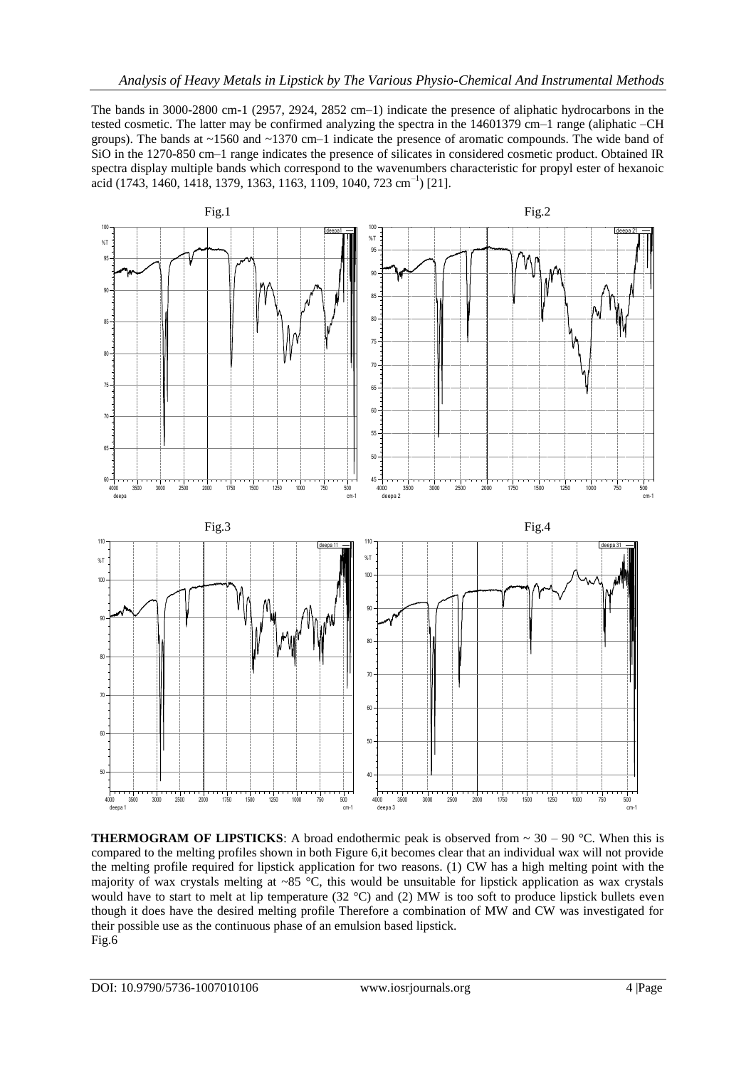The bands in 3000-2800 cm-1 (2957, 2924, 2852 cm–1) indicate the presence of aliphatic hydrocarbons in the tested cosmetic. The latter may be confirmed analyzing the spectra in the 14601379 cm–1 range (aliphatic –CH groups). The bands at ~1560 and ~1370 cm–1 indicate the presence of aromatic compounds. The wide band of SiO in the 1270-850 cm–1 range indicates the presence of silicates in considered cosmetic product. Obtained IR spectra display multiple bands which correspond to the wavenumbers characteristic for propyl ester of hexanoic acid (1743, 1460, 1418, 1379, 1363, 1163, 1109, 1040, 723 cm<sup>-1</sup>) [21].



**THERMOGRAM OF LIPSTICKS:** A broad endothermic peak is observed from  $\sim 30 - 90$  °C. When this is compared to the melting profiles shown in both Figure 6,it becomes clear that an individual wax will not provide the melting profile required for lipstick application for two reasons. (1) CW has a high melting point with the majority of wax crystals melting at ~85  $^{\circ}$ C, this would be unsuitable for lipstick application as wax crystals would have to start to melt at lip temperature (32 °C) and (2) MW is too soft to produce lipstick bullets even though it does have the desired melting profile Therefore a combination of MW and CW was investigated for their possible use as the continuous phase of an emulsion based lipstick. Fig.6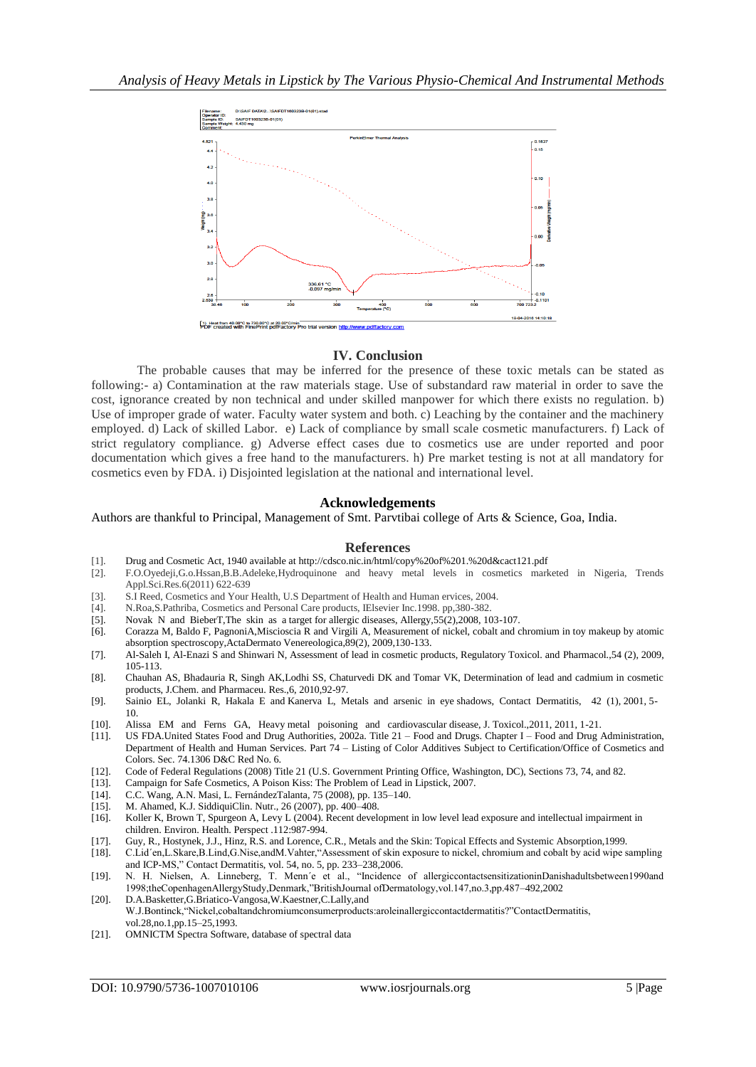

## **IV. Conclusion**

The probable causes that may be inferred for the presence of these toxic metals can be stated as following:- a) Contamination at the raw materials stage. Use of substandard raw material in order to save the cost, ignorance created by non technical and under skilled manpower for which there exists no regulation. b) Use of improper grade of water. Faculty water system and both. c) Leaching by the container and the machinery employed. d) Lack of skilled Labor. e) Lack of compliance by small scale cosmetic manufacturers. f) Lack of strict regulatory compliance. g) Adverse effect cases due to cosmetics use are under reported and poor documentation which gives a free hand to the manufacturers. h) Pre market testing is not at all mandatory for cosmetics even by FDA. i) Disjointed legislation at the national and international level.

#### **Acknowledgements**

#### Authors are thankful to Principal, Management of Smt. Parvtibai college of Arts & Science, Goa, India.

#### **References**

- [1]. Drug and Cosmetic Act, 1940 available at http://cdsco.nic.in/html/copy%20of%201.%20d&cact121.pdf
- [2]. F.O.Oyedeji,G.o.Hssan,B.B.Adeleke,Hydroquinone and heavy metal levels in cosmetics marketed in Nigeria, Trends Appl.Sci.Res.6(2011) 622-639
- [3]. S.I Reed, Cosmetics and Your Health, U.S Department of Health and Human ervices, 2004.
- [4]. N.Roa,S.Pathriba, Cosmetics and Personal Care products, IElsevier Inc.1998. pp,380-382.
- [5]. Novak N and BieberT,The skin as a target for allergic diseases, Allergy,55(2),2008, 103-107.
- [6]. Corazza M, Baldo F, PagnoniA,Miscioscia R and Virgili A, Measurement of nickel, cobalt and chromium in toy makeup by atomic absorption spectroscopy,ActaDermato Venereologica,89(2), 2009,130-133.
- [7]. Al-Saleh I, Al-Enazi S and Shinwari N, Assessment of lead in cosmetic products, Regulatory Toxicol. and Pharmacol.,54 (2), 2009, 105-113.
- [8]. Chauhan AS, Bhadauria R, Singh AK,Lodhi SS, Chaturvedi DK and Tomar VK, Determination of lead and cadmium in cosmetic products, J.Chem. and Pharmaceu. Res.,6, 2010,92-97.
- [9]. Sainio EL, Jolanki R, Hakala E and Kanerva L, Metals and arsenic in eye shadows, Contact Dermatitis, 42 (1), 2001, 5- 10.
- [10]. Alissa EM and Ferns GA, Heavy metal poisoning and cardiovascular disease, J. Toxicol.,2011, 2011, 1-21.
- [11]. US FDA.United States Food and Drug Authorities, 2002a. Title 21 Food and Drugs. Chapter I Food and Drug Administration, Department of Health and Human Services. Part 74 – Listing of Color Additives Subject to Certification/Office of Cosmetics and Colors. Sec. 74.1306 D&C Red No. 6.
- [12]. Code of Federal Regulations (2008) Title 21 (U.S. Government Printing Office, Washington, DC), Sections 73, 74, and 82.
- [13]. Campaign for Safe Cosmetics, A Poison Kiss: The Problem of Lead in Lipstick, 2007.
- [14]. C.C. Wang, A.N. Masi, L. FernándezTalanta, 75 (2008), pp. 135–140.
- [15]. M. Ahamed, K.J. SiddiquiClin. Nutr., 26 (2007), pp. 400–408.
- [16]. Koller K, Brown T, Spurgeon A, Levy L (2004). Recent development in low level lead exposure and intellectual impairment in children. Environ. Health. Perspect .112:987-994.
- 
- [17]. Guy, R., Hostynek, J.J., Hinz, R.S. and Lorence, C.R., Metals and the Skin: Topical Effects and Systemic Absorption,1999. [18]. C.Lid´en,L.Skare,B.Lind,G.Nise,andM.Vahter,"Assessment of skin exposure to nickel, chromium and cobalt by acid wipe sampling and ICP-MS," Contact Dermatitis, vol. 54, no. 5, pp. 233–238,2006.
- [19]. N. H. Nielsen, A. Linneberg, T. Menn´e et al., "Incidence of allergiccontactsensitizationinDanishadultsbetween1990and 1998;theCopenhagenAllergyStudy,Denmark,"BritishJournal ofDermatology,vol.147,no.3,pp.487–492,2002
- [20]. D.A.Basketter,G.Briatico-Vangosa,W.Kaestner,C.Lally,and W.J.Bontinck,"Nickel,cobaltandchromiumconsumerproducts:aroleinallergiccontactdermatitis?"ContactDermatitis, vol.28,no.1,pp.15–25,1993.
- [21]. OMNICTM Spectra Software, database of spectral data